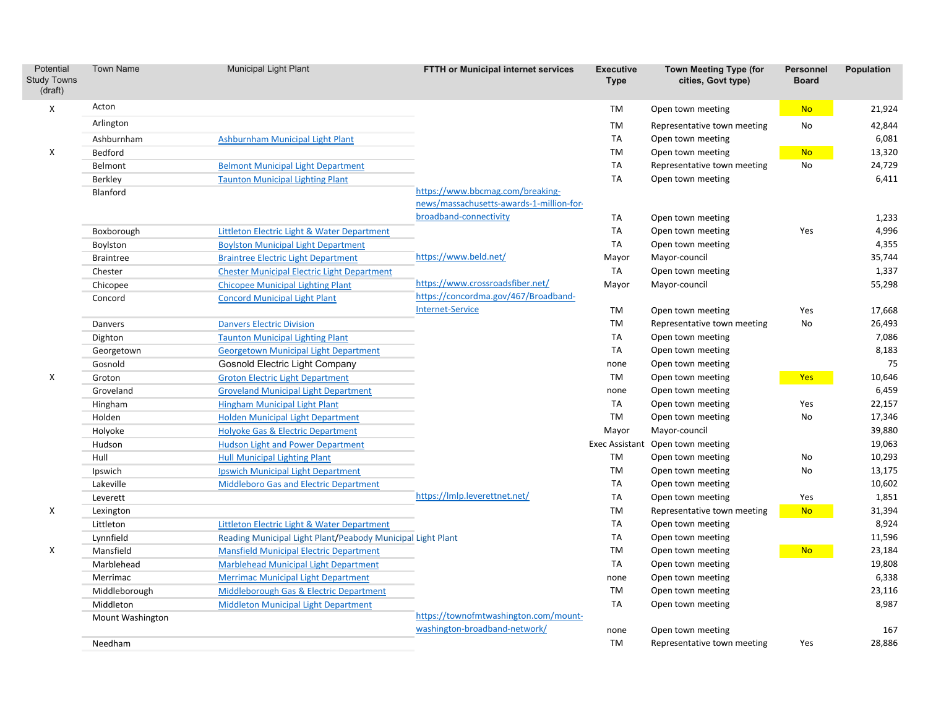| Potential<br><b>Study Towns</b><br>(draft) | <b>Town Name</b> | <b>Municipal Light Plant</b>                                | FTTH or Municipal internet services      | <b>Executive</b><br><b>Type</b> | <b>Town Meeting Type (for</b><br>cities, Govt type) | <b>Personnel</b><br><b>Board</b> | Population |
|--------------------------------------------|------------------|-------------------------------------------------------------|------------------------------------------|---------------------------------|-----------------------------------------------------|----------------------------------|------------|
| X                                          | Acton            |                                                             |                                          | TM                              | Open town meeting                                   | <b>No</b>                        | 21,924     |
|                                            | Arlington        |                                                             |                                          | TM                              | Representative town meeting                         | No                               | 42,844     |
|                                            | Ashburnham       | Ashburnham Municipal Light Plant                            |                                          | TA                              | Open town meeting                                   |                                  | 6,081      |
| X                                          | Bedford          |                                                             |                                          | TM                              | Open town meeting                                   | <b>No</b>                        | 13,320     |
|                                            | Belmont          | <b>Belmont Municipal Light Department</b>                   |                                          | TA                              | Representative town meeting                         | No                               | 24,729     |
|                                            | <b>Berkley</b>   | <b>Taunton Municipal Lighting Plant</b>                     |                                          | TA                              | Open town meeting                                   |                                  | 6,411      |
|                                            | Blanford         |                                                             | https://www.bbcmag.com/breaking-         |                                 |                                                     |                                  |            |
|                                            |                  |                                                             | news/massachusetts-awards-1-million-for- |                                 |                                                     |                                  |            |
|                                            |                  |                                                             | broadband-connectivity                   | TA                              | Open town meeting                                   |                                  | 1,233      |
|                                            | Boxborough       | <b>Littleton Electric Light &amp; Water Department</b>      |                                          | TA                              | Open town meeting                                   | Yes                              | 4,996      |
|                                            | Boylston         | <b>Boylston Municipal Light Department</b>                  |                                          | TA                              | Open town meeting                                   |                                  | 4,355      |
|                                            | <b>Braintree</b> | <b>Braintree Electric Light Department</b>                  | https://www.beld.net/                    | Mayor                           | Mayor-council                                       |                                  | 35,744     |
|                                            | Chester          | <b>Chester Municipal Electric Light Department</b>          |                                          | TA                              | Open town meeting                                   |                                  | 1,337      |
|                                            | Chicopee         | <b>Chicopee Municipal Lighting Plant</b>                    | https://www.crossroadsfiber.net/         | Mayor                           | Mayor-council                                       |                                  | 55,298     |
|                                            | Concord          | <b>Concord Municipal Light Plant</b>                        | https://concordma.gov/467/Broadband-     |                                 |                                                     |                                  |            |
|                                            |                  |                                                             | <b>Internet-Service</b>                  | TM                              | Open town meeting                                   | Yes                              | 17,668     |
|                                            | Danvers          | <b>Danvers Electric Division</b>                            |                                          | TM                              | Representative town meeting                         | No                               | 26,493     |
|                                            | Dighton          | <b>Taunton Municipal Lighting Plant</b>                     |                                          | TA                              | Open town meeting                                   |                                  | 7,086      |
|                                            | Georgetown       | <b>Georgetown Municipal Light Department</b>                |                                          | TA                              | Open town meeting                                   |                                  | 8,183      |
|                                            | Gosnold          | <b>Gosnold Electric Light Company</b>                       |                                          | none                            | Open town meeting                                   |                                  | 75         |
| X                                          | Groton           | <b>Groton Electric Light Department</b>                     |                                          | TM                              | Open town meeting                                   | Yes                              | 10,646     |
|                                            | Groveland        | <b>Groveland Municipal Light Department</b>                 |                                          | none                            | Open town meeting                                   |                                  | 6,459      |
|                                            | Hingham          | <b>Hingham Municipal Light Plant</b>                        |                                          | TA                              | Open town meeting                                   | Yes                              | 22,157     |
|                                            | Holden           | <b>Holden Municipal Light Department</b>                    |                                          | TM                              | Open town meeting                                   | No                               | 17,346     |
|                                            | Holyoke          | <b>Holyoke Gas &amp; Electric Department</b>                |                                          | Mayor                           | Mayor-council                                       |                                  | 39,880     |
|                                            | Hudson           | <b>Hudson Light and Power Department</b>                    |                                          | Exec Assistant                  | Open town meeting                                   |                                  | 19,063     |
|                                            | Hull             | <b>Hull Municipal Lighting Plant</b>                        |                                          | TM                              | Open town meeting                                   | No                               | 10,293     |
|                                            | Ipswich          | <b>Ipswich Municipal Light Department</b>                   |                                          | <b>TM</b>                       | Open town meeting                                   | No                               | 13,175     |
|                                            | Lakeville        | Middleboro Gas and Electric Department                      |                                          | TA                              | Open town meeting                                   |                                  | 10,602     |
|                                            | Leverett         |                                                             | https://lmlp.leverettnet.net/            | TA                              | Open town meeting                                   | Yes                              | 1,851      |
| X                                          | Lexington        |                                                             |                                          | TM                              | Representative town meeting                         | <b>No</b>                        | 31,394     |
|                                            | Littleton        | Littleton Electric Light & Water Department                 |                                          | <b>TA</b>                       | Open town meeting                                   |                                  | 8,924      |
|                                            | Lynnfield        | Reading Municipal Light Plant/Peabody Municipal Light Plant |                                          | TA                              | Open town meeting                                   |                                  | 11,596     |
| X                                          | Mansfield        | <b>Mansfield Municipal Electric Department</b>              |                                          | TM                              | Open town meeting                                   | <b>No</b>                        | 23,184     |
|                                            | Marblehead       | <b>Marblehead Municipal Light Department</b>                |                                          | TA                              | Open town meeting                                   |                                  | 19,808     |
|                                            | Merrimac         | <b>Merrimac Municipal Light Department</b>                  |                                          | none                            | Open town meeting                                   |                                  | 6,338      |
|                                            | Middleborough    | Middleborough Gas & Electric Department                     |                                          | TM                              | Open town meeting                                   |                                  | 23,116     |
|                                            | Middleton        | <b>Middleton Municipal Light Department</b>                 |                                          | TA                              | Open town meeting                                   |                                  | 8,987      |
|                                            | Mount Washington |                                                             | https://townofmtwashington.com/mount-    |                                 |                                                     |                                  |            |
|                                            |                  |                                                             | washington-broadband-network/            | none                            | Open town meeting                                   |                                  | 167        |
|                                            | Needham          |                                                             |                                          | TM                              | Representative town meeting                         | Yes                              | 28,886     |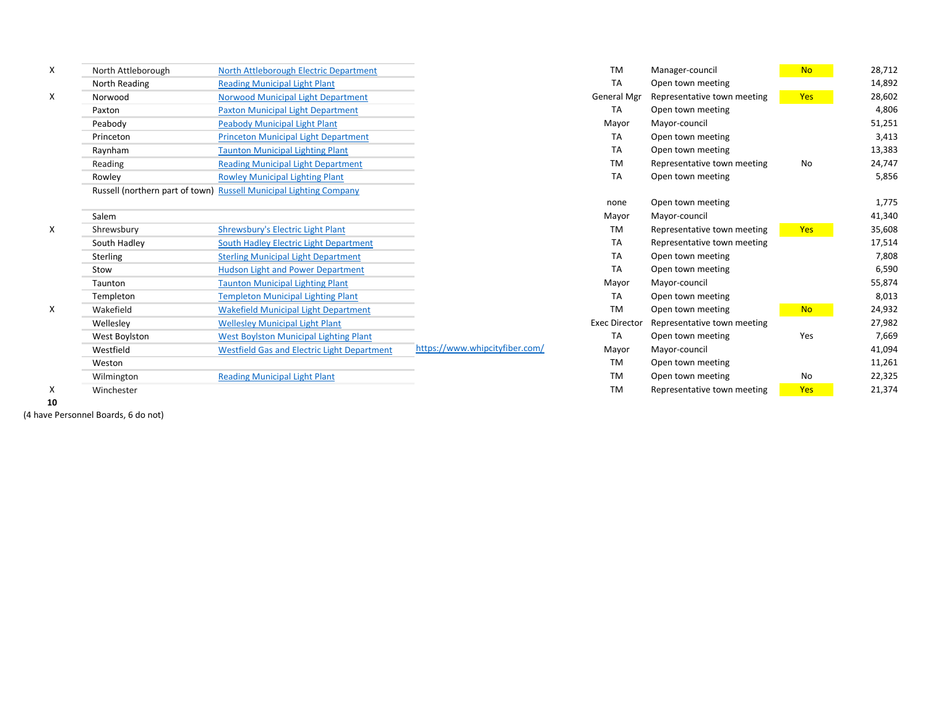| X | North Attleborough | North Attleborough Electric Department                             |                                | TM                   | Manager-council             | <b>No</b>  | 28,712 |
|---|--------------------|--------------------------------------------------------------------|--------------------------------|----------------------|-----------------------------|------------|--------|
|   | North Reading      | <b>Reading Municipal Light Plant</b>                               |                                | <b>TA</b>            | Open town meeting           |            | 14,892 |
| X | Norwood            | Norwood Municipal Light Department                                 |                                | <b>General Mgr</b>   | Representative town meeting | Yes        | 28,602 |
|   | Paxton             | <b>Paxton Municipal Light Department</b>                           |                                | TA                   | Open town meeting           |            | 4,806  |
|   | Peabody            | <b>Peabody Municipal Light Plant</b>                               |                                | Mayor                | Mayor-council               |            | 51,251 |
|   | Princeton          | <b>Princeton Municipal Light Department</b>                        |                                | TA                   | Open town meeting           |            | 3,413  |
|   | Raynham            | <b>Taunton Municipal Lighting Plant</b>                            |                                | TA                   | Open town meeting           |            | 13,383 |
|   | Reading            | <b>Reading Municipal Light Department</b>                          |                                | TM                   | Representative town meeting | No         | 24,747 |
|   | Rowley             | <b>Rowley Municipal Lighting Plant</b>                             |                                | TA                   | Open town meeting           |            | 5,856  |
|   |                    | Russell (northern part of town) Russell Municipal Lighting Company |                                |                      |                             |            |        |
|   |                    |                                                                    |                                | none                 | Open town meeting           |            | 1,775  |
|   | Salem              |                                                                    |                                | Mayor                | Mayor-council               |            | 41,340 |
| Χ | Shrewsbury         | Shrewsbury's Electric Light Plant                                  |                                | TM                   | Representative town meeting | Yes        | 35,608 |
|   | South Hadley       | South Hadley Electric Light Department                             |                                | TA                   | Representative town meeting |            | 17,514 |
|   | Sterling           | <b>Sterling Municipal Light Department</b>                         |                                | TA                   | Open town meeting           |            | 7,808  |
|   | Stow               | <b>Hudson Light and Power Department</b>                           |                                | TA                   | Open town meeting           |            | 6,590  |
|   | Taunton            | <b>Taunton Municipal Lighting Plant</b>                            |                                | Mayor                | Mayor-council               |            | 55,874 |
|   | Templeton          | <b>Templeton Municipal Lighting Plant</b>                          |                                | TA                   | Open town meeting           |            | 8,013  |
| X | Wakefield          | <b>Wakefield Municipal Light Department</b>                        |                                | <b>TM</b>            | Open town meeting           | <b>No</b>  | 24,932 |
|   | Welleslev          | <b>Wellesley Municipal Light Plant</b>                             |                                | <b>Exec Director</b> | Representative town meeting |            | 27,982 |
|   | West Boylston      | <b>West Boylston Municipal Lighting Plant</b>                      |                                | <b>TA</b>            | Open town meeting           | Yes        | 7,669  |
|   | Westfield          | <b>Westfield Gas and Electric Light Department</b>                 | https://www.whipcityfiber.com/ | Mayor                | Mayor-council               |            | 41,094 |
|   | Weston             |                                                                    |                                | TM                   | Open town meeting           |            | 11,261 |
|   | Wilmington         | <b>Reading Municipal Light Plant</b>                               |                                | TM                   | Open town meeting           | No         | 22,325 |
| X | Winchester         |                                                                    |                                | <b>TM</b>            | Representative town meeting | <b>Yes</b> | 21,374 |

**10**

(4 have Personnel Boards, 6 do not)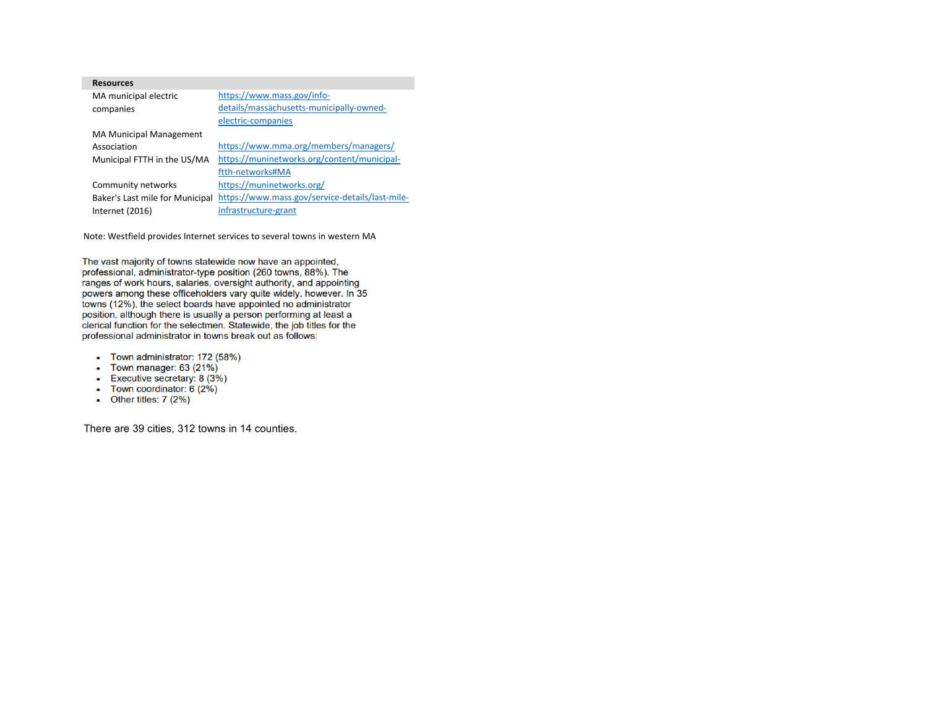| <b>Resources</b>                |                                                 |
|---------------------------------|-------------------------------------------------|
| MA municipal electric           | https://www.mass.gov/info-                      |
| companies                       | details/massachusetts-municipally-owned-        |
|                                 | electric-companies                              |
| <b>MA Municipal Management</b>  |                                                 |
| Association                     | https://www.mma.org/members/managers/           |
| Municipal FTTH in the US/MA     | https://muninetworks.org/content/municipal-     |
|                                 | ftth-networks#MA                                |
| Community networks              | https://muninetworks.org/                       |
| Baker's Last mile for Municipal | https://www.mass.gov/service-details/last-mile- |
| Internet $(2016)$               | infrastructure-grant                            |

Note: Westfield provides Internet services to several towns in western MA

The vast majority of towns statewide now have an appointed, professional, administrator-type position (260 towns, 88%). The ranges of work hours, salaries, oversight authority, and appointing powers among these officeholders vary quite widely, however. In 35 towns (12%), the select boards have appointed no administrator position, although there is usually a person performing at least a clerical function for the selectmen. Statewide, the job titles for the professional administrator in towns break out as follows:

- Town administrator: 172 (58%)
- Town manager:  $63 (21%)$
- Executive secretary:  $8(3\%)$
- Town coordinator:  $6(2\%)$
- Other titles:  $7(2%)$

There are 39 cities, 312 towns in 14 counties.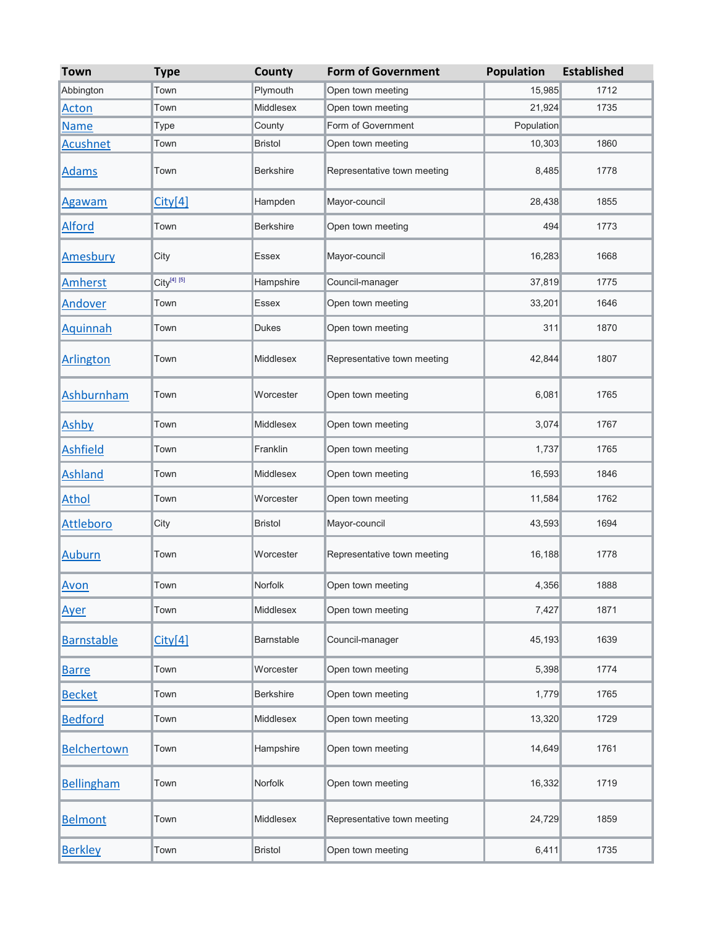| <b>Town</b>        | <b>Type</b>             | County           | <b>Form of Government</b>   | Population | <b>Established</b> |
|--------------------|-------------------------|------------------|-----------------------------|------------|--------------------|
| Abbington          | Town                    | Plymouth         | Open town meeting           | 15,985     | 1712               |
| <b>Acton</b>       | Town                    | Middlesex        | Open town meeting           | 21,924     | 1735               |
| <b>Name</b>        | Type                    | County           | Form of Government          | Population |                    |
| <b>Acushnet</b>    | Town                    | <b>Bristol</b>   | Open town meeting           | 10,303     | 1860               |
| <b>Adams</b>       | Town                    | <b>Berkshire</b> | Representative town meeting | 8,485      | 1778               |
| <b>Agawam</b>      | City[4]                 | Hampden          | Mayor-council               | 28,438     | 1855               |
| <b>Alford</b>      | Town                    | <b>Berkshire</b> | Open town meeting           | 494        | 1773               |
| Amesbury           | City                    | Essex            | Mayor-council               | 16,283     | 1668               |
| Amherst            | City <sup>[4] [5]</sup> | Hampshire        | Council-manager             | 37,819     | 1775               |
| Andover            | Town                    | Essex            | Open town meeting           | 33,201     | 1646               |
| Aquinnah           | Town                    | <b>Dukes</b>     | Open town meeting           | 311        | 1870               |
| <b>Arlington</b>   | Town                    | Middlesex        | Representative town meeting | 42,844     | 1807               |
| Ashburnham         | Town                    | Worcester        | Open town meeting           | 6,081      | 1765               |
| Ashby              | Town                    | Middlesex        | Open town meeting           | 3,074      | 1767               |
| <b>Ashfield</b>    | Town                    | Franklin         | Open town meeting           | 1,737      | 1765               |
| <b>Ashland</b>     | Town                    | Middlesex        | Open town meeting           | 16,593     | 1846               |
| <b>Athol</b>       | Town                    | Worcester        | Open town meeting           | 11,584     | 1762               |
| <b>Attleboro</b>   | City                    | <b>Bristol</b>   | Mayor-council               | 43,593     | 1694               |
| <b>Auburn</b>      | Town                    | Worcester        | Representative town meeting | 16,188     | 1778               |
| Avon               | Town                    | Norfolk          | Open town meeting           | 4,356      | 1888               |
| Ayer               | Town                    | Middlesex        | Open town meeting           | 7,427      | 1871               |
| <b>Barnstable</b>  | City[4]                 | Barnstable       | Council-manager             | 45,193     | 1639               |
| <b>Barre</b>       | Town                    | Worcester        | Open town meeting           | 5,398      | 1774               |
| <b>Becket</b>      | Town                    | <b>Berkshire</b> | Open town meeting           | 1,779      | 1765               |
| <b>Bedford</b>     | Town                    | Middlesex        | Open town meeting           | 13,320     | 1729               |
| <b>Belchertown</b> | Town                    | Hampshire        | Open town meeting           | 14,649     | 1761               |
| <b>Bellingham</b>  | Town                    | Norfolk          | Open town meeting           | 16,332     | 1719               |
| <b>Belmont</b>     | Town                    | Middlesex        | Representative town meeting | 24,729     | 1859               |
| <b>Berkley</b>     | Town                    | <b>Bristol</b>   | Open town meeting           | 6,411      | 1735               |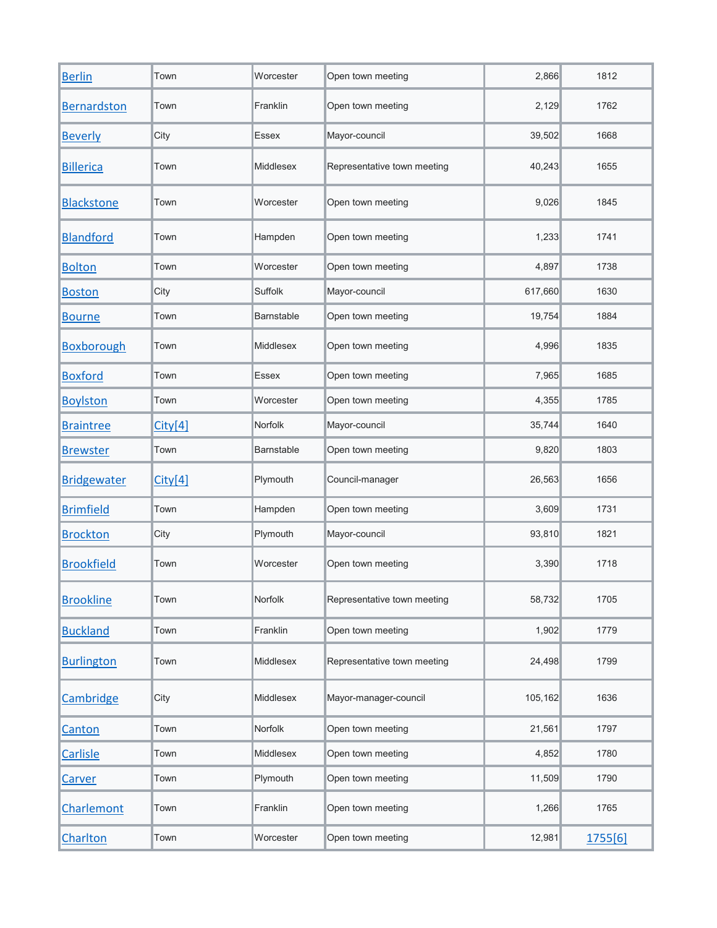| <b>Berlin</b>      | Town    | Worcester        | Open town meeting           | 2,866   | 1812    |
|--------------------|---------|------------------|-----------------------------|---------|---------|
| <b>Bernardston</b> | Town    | Franklin         | Open town meeting           | 2,129   | 1762    |
| <b>Beverly</b>     | City    | Essex            | Mayor-council               | 39,502  | 1668    |
| <b>Billerica</b>   | Town    | <b>Middlesex</b> | Representative town meeting | 40,243  | 1655    |
| <b>Blackstone</b>  | Town    | Worcester        | Open town meeting           | 9,026   | 1845    |
| <b>Blandford</b>   | Town    | Hampden          | Open town meeting           | 1,233   | 1741    |
| <b>Bolton</b>      | Town    | Worcester        | Open town meeting           | 4,897   | 1738    |
| <b>Boston</b>      | City    | Suffolk          | Mayor-council               | 617,660 | 1630    |
| <b>Bourne</b>      | Town    | Barnstable       | Open town meeting           | 19,754  | 1884    |
| <b>Boxborough</b>  | Town    | <b>Middlesex</b> | Open town meeting           | 4,996   | 1835    |
| <b>Boxford</b>     | Town    | Essex            | Open town meeting           | 7,965   | 1685    |
| <b>Boylston</b>    | Town    | Worcester        | Open town meeting           | 4,355   | 1785    |
| <b>Braintree</b>   | City[4] | Norfolk          | Mayor-council               | 35,744  | 1640    |
| <b>Brewster</b>    | Town    | Barnstable       | Open town meeting           | 9,820   | 1803    |
| <b>Bridgewater</b> | City[4] | Plymouth         | Council-manager             | 26,563  | 1656    |
| <b>Brimfield</b>   | Town    | Hampden          | Open town meeting           | 3,609   | 1731    |
| <b>Brockton</b>    | City    | Plymouth         | Mayor-council               | 93,810  | 1821    |
| <b>Brookfield</b>  | Town    | Worcester        | Open town meeting           | 3,390   | 1718    |
| <b>Brookline</b>   | Town    | Norfolk          | Representative town meeting | 58,732  | 1705    |
| <b>Buckland</b>    | Town    | Franklin         | Open town meeting           | 1,902   | 1779    |
| <b>Burlington</b>  | Town    | Middlesex        | Representative town meeting | 24,498  | 1799    |
| Cambridge          | City    | Middlesex        | Mayor-manager-council       | 105,162 | 1636    |
| Canton             | Town    | Norfolk          | Open town meeting           | 21,561  | 1797    |
| <b>Carlisle</b>    | Town    | Middlesex        | Open town meeting           | 4,852   | 1780    |
| <b>Carver</b>      | Town    | Plymouth         | Open town meeting           | 11,509  | 1790    |
| Charlemont         | Town    | Franklin         | Open town meeting           | 1,266   | 1765    |
| Charlton           | Town    | Worcester        | Open town meeting           | 12,981  | 1755[6] |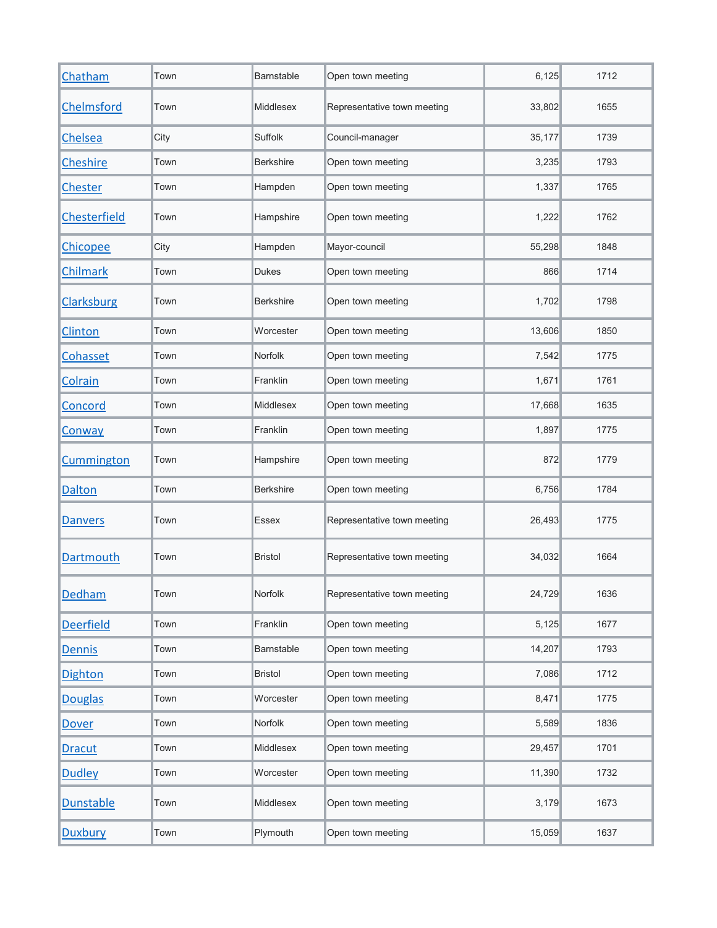| Chatham          | Town | Barnstable       | Open town meeting           | 6,125  | 1712 |
|------------------|------|------------------|-----------------------------|--------|------|
| Chelmsford       | Town | <b>Middlesex</b> | Representative town meeting | 33,802 | 1655 |
| Chelsea          | City | Suffolk          | Council-manager             | 35,177 | 1739 |
| Cheshire         | Town | <b>Berkshire</b> | Open town meeting           | 3,235  | 1793 |
| Chester          | Town | Hampden          | Open town meeting           | 1,337  | 1765 |
| Chesterfield     | Town | Hampshire        | Open town meeting           | 1,222  | 1762 |
| Chicopee         | City | Hampden          | Mayor-council               | 55,298 | 1848 |
| Chilmark         | Town | <b>Dukes</b>     | Open town meeting           | 866    | 1714 |
| Clarksburg       | Town | <b>Berkshire</b> | Open town meeting           | 1,702  | 1798 |
| Clinton          | Town | Worcester        | Open town meeting           | 13,606 | 1850 |
| Cohasset         | Town | Norfolk          | Open town meeting           | 7,542  | 1775 |
| Colrain          | Town | Franklin         | Open town meeting           | 1,671  | 1761 |
| Concord          | Town | Middlesex        | Open town meeting           | 17,668 | 1635 |
| Conway           | Town | Franklin         | Open town meeting           | 1,897  | 1775 |
| Cummington       | Town | Hampshire        | Open town meeting           | 872    | 1779 |
| <b>Dalton</b>    | Town | <b>Berkshire</b> | Open town meeting           | 6,756  | 1784 |
| <b>Danvers</b>   | Town | Essex            | Representative town meeting | 26,493 | 1775 |
| <b>Dartmouth</b> | Town | <b>Bristol</b>   | Representative town meeting | 34,032 | 1664 |
| Dedham           | Town | Norfolk          | Representative town meeting | 24,729 | 1636 |
| <b>Deerfield</b> | Town | Franklin         | Open town meeting           | 5,125  | 1677 |
| <b>Dennis</b>    | Town | Barnstable       | Open town meeting           | 14,207 | 1793 |
| <b>Dighton</b>   | Town | <b>Bristol</b>   | Open town meeting           | 7,086  | 1712 |
| <b>Douglas</b>   | Town | Worcester        | Open town meeting           | 8,471  | 1775 |
| <b>Dover</b>     | Town | Norfolk          | Open town meeting           | 5,589  | 1836 |
| <b>Dracut</b>    | Town | Middlesex        | Open town meeting           | 29,457 | 1701 |
| <b>Dudley</b>    | Town | Worcester        | Open town meeting           | 11,390 | 1732 |
| <b>Dunstable</b> | Town | Middlesex        | Open town meeting           | 3,179  | 1673 |
| <b>Duxbury</b>   | Town | Plymouth         | Open town meeting           | 15,059 | 1637 |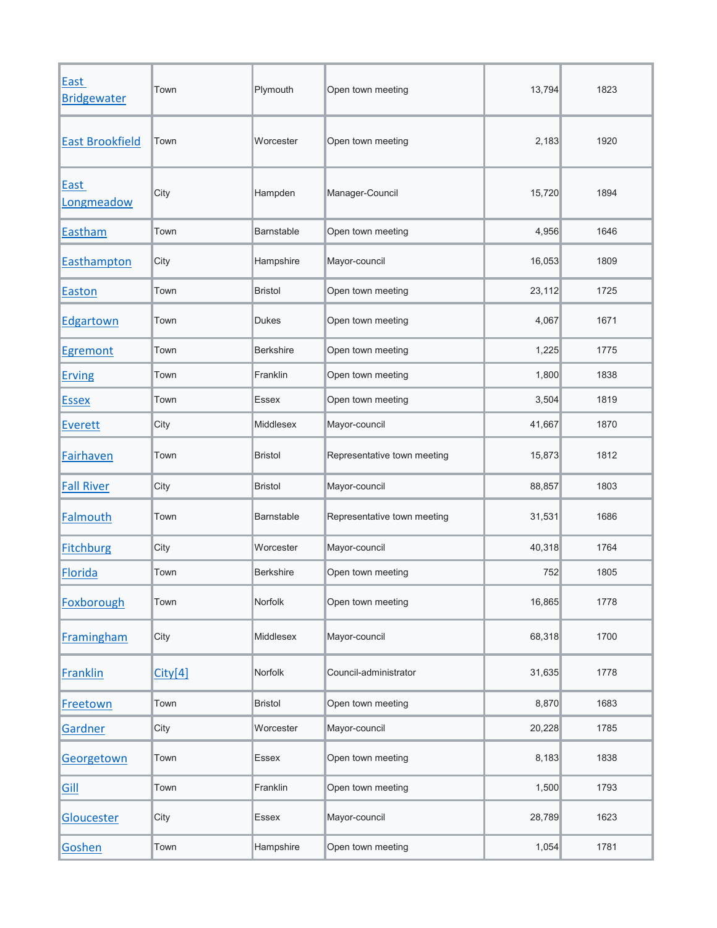| <b>East</b><br><b>Bridgewater</b> | Town    | Plymouth          | Open town meeting           | 13,794 | 1823 |
|-----------------------------------|---------|-------------------|-----------------------------|--------|------|
| <b>East Brookfield</b>            | Town    | Worcester         | Open town meeting           | 2,183  | 1920 |
| <b>East</b><br>Longmeadow         | City    | Hampden           | Manager-Council             | 15,720 | 1894 |
| Eastham                           | Town    | <b>Barnstable</b> | Open town meeting           | 4,956  | 1646 |
| Easthampton                       | City    | Hampshire         | Mayor-council               | 16,053 | 1809 |
| Easton                            | Town    | <b>Bristol</b>    | Open town meeting           | 23,112 | 1725 |
| Edgartown                         | Town    | Dukes             | Open town meeting           | 4,067  | 1671 |
| Egremont                          | Town    | <b>Berkshire</b>  | Open town meeting           | 1,225  | 1775 |
| <b>Erving</b>                     | Town    | Franklin          | Open town meeting           | 1,800  | 1838 |
| <b>Essex</b>                      | Town    | Essex             | Open town meeting           | 3,504  | 1819 |
| Everett                           | City    | Middlesex         | Mayor-council               | 41,667 | 1870 |
| Fairhaven                         | Town    | <b>Bristol</b>    | Representative town meeting | 15,873 | 1812 |
| <b>Fall River</b>                 | City    | <b>Bristol</b>    | Mayor-council               | 88,857 | 1803 |
| Falmouth                          | Town    | <b>Barnstable</b> | Representative town meeting | 31,531 | 1686 |
| <b>Fitchburg</b>                  | City    | Worcester         | Mayor-council               | 40,318 | 1764 |
| <b>Florida</b>                    | Town    | <b>Berkshire</b>  | Open town meeting           | 752    | 1805 |
| Foxborough                        | Town    | Norfolk           | Open town meeting           | 16,865 | 1778 |
| <b>Framingham</b>                 | City    | Middlesex         | Mayor-council               | 68,318 | 1700 |
| <b>Franklin</b>                   | City[4] | Norfolk           | Council-administrator       | 31,635 | 1778 |
| Freetown                          | Town    | <b>Bristol</b>    | Open town meeting           | 8,870  | 1683 |
| Gardner                           | City    | Worcester         | Mayor-council               | 20,228 | 1785 |
| Georgetown                        | Town    | Essex             | Open town meeting           | 8,183  | 1838 |
| Gill                              | Town    | Franklin          | Open town meeting           | 1,500  | 1793 |
| Gloucester                        | City    | Essex             | Mayor-council               | 28,789 | 1623 |
| Goshen                            | Town    | Hampshire         | Open town meeting           | 1,054  | 1781 |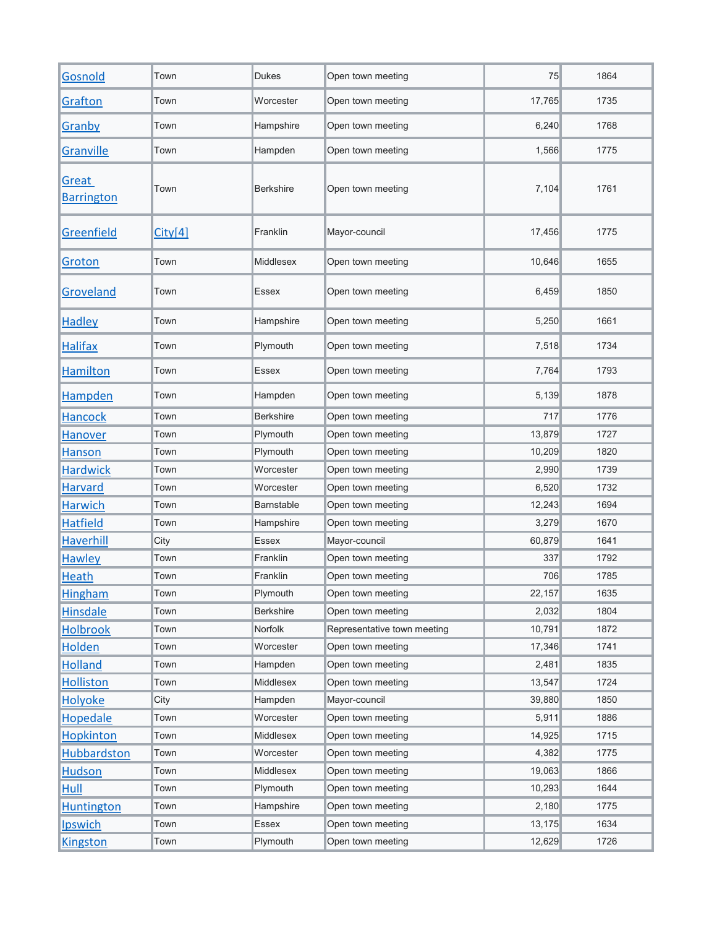| Gosnold                    | Town    | <b>Dukes</b>     | Open town meeting           | 75     | 1864 |
|----------------------------|---------|------------------|-----------------------------|--------|------|
| Grafton                    | Town    | Worcester        | Open town meeting           | 17,765 | 1735 |
| Granby                     | Town    | Hampshire        | Open town meeting           | 6,240  | 1768 |
| Granville                  | Town    | Hampden          | Open town meeting           | 1,566  | 1775 |
| Great<br><b>Barrington</b> | Town    | <b>Berkshire</b> | Open town meeting           | 7,104  | 1761 |
| Greenfield                 | City[4] | Franklin         | Mayor-council               | 17,456 | 1775 |
| Groton                     | Town    | Middlesex        | Open town meeting           | 10,646 | 1655 |
| Groveland                  | Town    | <b>Essex</b>     | Open town meeting           | 6,459  | 1850 |
| <b>Hadley</b>              | Town    | Hampshire        | Open town meeting           | 5,250  | 1661 |
| <b>Halifax</b>             | Town    | Plymouth         | Open town meeting           | 7,518  | 1734 |
| <b>Hamilton</b>            | Town    | <b>Essex</b>     | Open town meeting           | 7,764  | 1793 |
| <b>Hampden</b>             | Town    | Hampden          | Open town meeting           | 5,139  | 1878 |
| <b>Hancock</b>             | Town    | <b>Berkshire</b> | Open town meeting           | 717    | 1776 |
| <b>Hanover</b>             | Town    | Plymouth         | Open town meeting           | 13,879 | 1727 |
| Hanson                     | Town    | Plymouth         | Open town meeting           | 10,209 | 1820 |
| <b>Hardwick</b>            | Town    | Worcester        | Open town meeting           | 2,990  | 1739 |
| <b>Harvard</b>             | Town    | Worcester        | Open town meeting           | 6,520  | 1732 |
| <b>Harwich</b>             | Town    | Barnstable       | Open town meeting           | 12,243 | 1694 |
| <b>Hatfield</b>            | Town    | Hampshire        | Open town meeting           | 3,279  | 1670 |
| <b>Haverhill</b>           | City    | Essex            | Mayor-council               | 60,879 | 1641 |
| <b>Hawley</b>              | Town    | Franklin         | Open town meeting           | 337    | 1792 |
| <b>Heath</b>               | Town    | Franklin         | Open town meeting           | 706    | 1785 |
| <b>Hingham</b>             | Town    | Plymouth         | Open town meeting           | 22,157 | 1635 |
| <b>Hinsdale</b>            | Town    | <b>Berkshire</b> | Open town meeting           | 2,032  | 1804 |
| <b>Holbrook</b>            | Town    | Norfolk          | Representative town meeting | 10,791 | 1872 |
| <b>Holden</b>              | Town    | Worcester        | Open town meeting           | 17,346 | 1741 |
| <b>Holland</b>             | Town    | Hampden          | Open town meeting           | 2,481  | 1835 |
| <b>Holliston</b>           | Town    | Middlesex        | Open town meeting           | 13,547 | 1724 |
| Holyoke                    | City    | Hampden          | Mayor-council               | 39,880 | 1850 |
| <b>Hopedale</b>            | Town    | Worcester        | Open town meeting           | 5,911  | 1886 |
| <b>Hopkinton</b>           | Town    | Middlesex        | Open town meeting           | 14,925 | 1715 |
| <b>Hubbardston</b>         | Town    | Worcester        | Open town meeting           | 4,382  | 1775 |
| <b>Hudson</b>              | Town    | Middlesex        | Open town meeting           | 19,063 | 1866 |
| Hull                       | Town    | Plymouth         | Open town meeting           | 10,293 | 1644 |
| <b>Huntington</b>          | Town    | Hampshire        | Open town meeting           | 2,180  | 1775 |
| <b>Ipswich</b>             | Town    | Essex            | Open town meeting           | 13,175 | 1634 |
| <b>Kingston</b>            | Town    | Plymouth         | Open town meeting           | 12,629 | 1726 |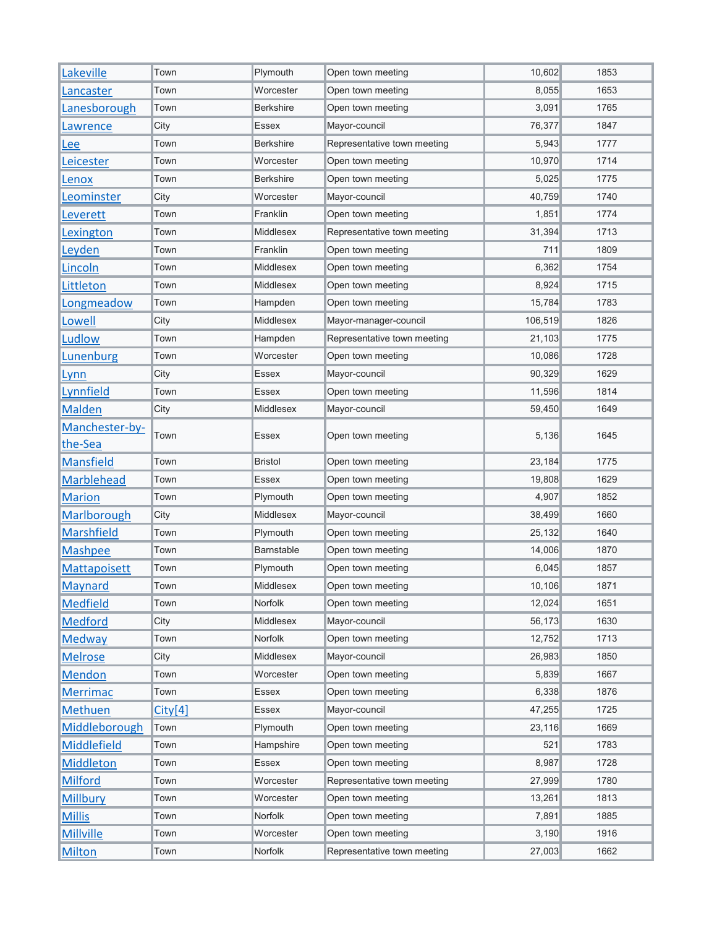| Lakeville          | Town    | Plymouth          | Open town meeting           | 10,602  | 1853 |
|--------------------|---------|-------------------|-----------------------------|---------|------|
| Lancaster          | Town    | Worcester         | Open town meeting           | 8,055   | 1653 |
| Lanesborough       | Town    | <b>Berkshire</b>  | Open town meeting           | 3,091   | 1765 |
| Lawrence           | City    | Essex             | Mayor-council               | 76,377  | 1847 |
| Lee                | Town    | <b>Berkshire</b>  | Representative town meeting | 5,943   | 1777 |
| Leicester          | Town    | Worcester         | Open town meeting           | 10,970  | 1714 |
| Lenox              | Town    | <b>Berkshire</b>  | Open town meeting           | 5,025   | 1775 |
| Leominster         | City    | Worcester         | Mayor-council               | 40,759  | 1740 |
| Leverett           | Town    | Franklin          | Open town meeting           | 1,851   | 1774 |
| Lexington          | Town    | Middlesex         | Representative town meeting | 31,394  | 1713 |
| Leyden             | Town    | Franklin          | Open town meeting           | 711     | 1809 |
| Lincoln            | Town    | Middlesex         | Open town meeting           | 6,362   | 1754 |
| Littleton          | Town    | <b>Middlesex</b>  | Open town meeting           | 8,924   | 1715 |
| Longmeadow         | Town    | Hampden           | Open town meeting           | 15,784  | 1783 |
| Lowell             | City    | Middlesex         | Mayor-manager-council       | 106,519 | 1826 |
| Ludlow             | Town    | Hampden           | Representative town meeting | 21,103  | 1775 |
| Lunenburg          | Town    | Worcester         | Open town meeting           | 10,086  | 1728 |
| Lynn               | City    | Essex             | Mayor-council               | 90,329  | 1629 |
| Lynnfield          | Town    | Essex             | Open town meeting           | 11,596  | 1814 |
| Malden             | City    | Middlesex         | Mayor-council               | 59,450  | 1649 |
| Manchester-by-     | Town    | <b>Essex</b>      | 5,136                       | 1645    |      |
| the-Sea            |         |                   | Open town meeting           |         |      |
| <b>Mansfield</b>   | Town    | <b>Bristol</b>    | Open town meeting           | 23,184  | 1775 |
| <b>Marblehead</b>  | Town    | Essex             | Open town meeting           | 19,808  | 1629 |
| <b>Marion</b>      | Town    | Plymouth          | Open town meeting           | 4,907   | 1852 |
| Marlborough        | City    | Middlesex         | Mayor-council               | 38,499  | 1660 |
| <b>Marshfield</b>  | Town    | Plymouth          | Open town meeting           | 25,132  | 1640 |
| <b>Mashpee</b>     | Town    | <b>Barnstable</b> | Open town meeting           | 14.006  | 1870 |
| Mattapoisett       | Town    | Plymouth          | Open town meeting           | 6,045   | 1857 |
| Maynard            | Town    | Middlesex         | Open town meeting           | 10,106  | 1871 |
| <b>Medfield</b>    | Town    | Norfolk           | Open town meeting           | 12,024  | 1651 |
| <b>Medford</b>     | City    | Middlesex         | Mayor-council               | 56,173  | 1630 |
| Medway             | Town    | Norfolk           | Open town meeting           | 12,752  | 1713 |
| <b>Melrose</b>     | City    | Middlesex         | Mayor-council               | 26,983  | 1850 |
| <b>Mendon</b>      | Town    | Worcester         | Open town meeting           | 5,839   | 1667 |
| <b>Merrimac</b>    | Town    | Essex             | Open town meeting           | 6,338   | 1876 |
| <b>Methuen</b>     | City[4] | Essex             | Mayor-council               | 47,255  | 1725 |
| Middleborough      | Town    | Plymouth          | Open town meeting           | 23,116  | 1669 |
| <b>Middlefield</b> | Town    | Hampshire         | Open town meeting           | 521     | 1783 |
| <b>Middleton</b>   | Town    | <b>Essex</b>      | Open town meeting           | 8,987   | 1728 |
| <b>Milford</b>     | Town    | Worcester         | Representative town meeting | 27,999  | 1780 |
| <b>Millbury</b>    | Town    | Worcester         | Open town meeting           | 13,261  | 1813 |
| <b>Millis</b>      | Town    | Norfolk           | Open town meeting           | 7,891   | 1885 |
| <b>Millville</b>   | Town    | Worcester         | Open town meeting           | 3,190   | 1916 |
| <b>Milton</b>      | Town    | Norfolk           | Representative town meeting | 27,003  | 1662 |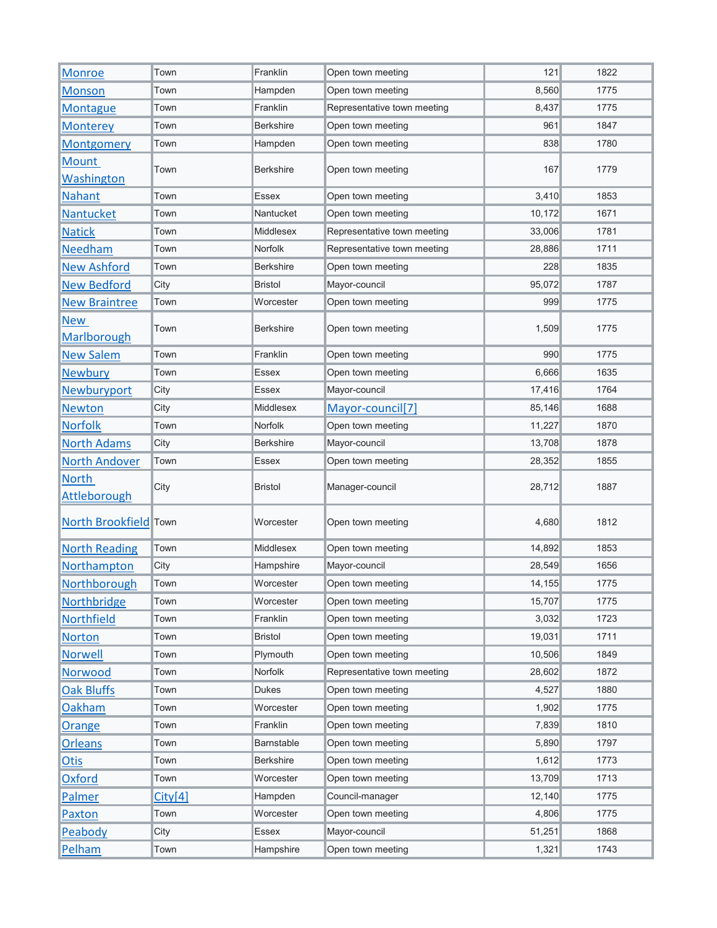| <b>Monroe</b>                       | Town    | Franklin         | Open town meeting           | 121    | 1822 |
|-------------------------------------|---------|------------------|-----------------------------|--------|------|
| <b>Monson</b>                       | Town    | Hampden          | Open town meeting           | 8,560  | 1775 |
| <b>Montague</b>                     | Town    | Franklin         | Representative town meeting | 8,437  | 1775 |
| <b>Monterey</b>                     | Town    | <b>Berkshire</b> | Open town meeting           | 961    | 1847 |
| <b>Montgomery</b>                   | Town    | Hampden          | Open town meeting           | 838    | 1780 |
| <b>Mount</b><br>Washington          | Town    | <b>Berkshire</b> | Open town meeting           | 167    | 1779 |
| <b>Nahant</b>                       | Town    | Essex            | Open town meeting           | 3,410  | 1853 |
| Nantucket                           | Town    | Nantucket        | Open town meeting           | 10,172 | 1671 |
| <b>Natick</b>                       | Town    | Middlesex        | Representative town meeting | 33,006 | 1781 |
| <b>Needham</b>                      | Town    | <b>Norfolk</b>   | Representative town meeting | 28,886 | 1711 |
| <b>New Ashford</b>                  | Town    | <b>Berkshire</b> | Open town meeting           | 228    | 1835 |
| <b>New Bedford</b>                  | City    | <b>Bristol</b>   | Mayor-council               | 95,072 | 1787 |
| <b>New Braintree</b>                | Town    | Worcester        | Open town meeting           | 999    | 1775 |
| <b>New</b><br><b>Marlborough</b>    | Town    | <b>Berkshire</b> | Open town meeting           | 1,509  | 1775 |
| <b>New Salem</b>                    | Town    | Franklin         | Open town meeting           | 990    | 1775 |
| <b>Newbury</b>                      | Town    | Essex            | Open town meeting           | 6,666  | 1635 |
| Newburyport                         | City    | Essex            | Mayor-council               | 17,416 | 1764 |
| <b>Newton</b>                       | City    | Middlesex        | Mayor-council[7]            | 85,146 | 1688 |
| <b>Norfolk</b>                      | Town    | <b>Norfolk</b>   | Open town meeting           | 11,227 | 1870 |
| <b>North Adams</b>                  | City    | <b>Berkshire</b> | Mayor-council               | 13,708 | 1878 |
| <b>North Andover</b>                | Town    | Essex            | Open town meeting           | 28,352 | 1855 |
| <b>North</b><br><b>Attleborough</b> | City    | <b>Bristol</b>   | Manager-council             | 28,712 | 1887 |
| North Brookfield Town               |         | Worcester        | Open town meeting           | 4,680  | 1812 |
| <b>North Reading</b>                | Town    | <b>Middlesex</b> | Open town meeting           | 14,892 | 1853 |
| Northampton                         | City    | Hampshire        | Mayor-council               | 28,549 | 1656 |
| Northborough                        | Town    | Worcester        | Open town meeting           | 14,155 | 1775 |
| Northbridge                         | Town    | Worcester        | Open town meeting           | 15,707 | 1775 |
| <b>Northfield</b>                   | Town    | Franklin         | Open town meeting           | 3,032  | 1723 |
| <b>Norton</b>                       | Town    | <b>Bristol</b>   | Open town meeting           | 19,031 | 1711 |
| <b>Norwell</b>                      | Town    | Plymouth         | Open town meeting           | 10,506 | 1849 |
| Norwood                             | Town    | Norfolk          | Representative town meeting | 28,602 | 1872 |
| <b>Oak Bluffs</b>                   | Town    | <b>Dukes</b>     | Open town meeting           | 4,527  | 1880 |
| Oakham                              | Town    | Worcester        | Open town meeting           | 1,902  | 1775 |
| Orange                              | Town    | Franklin         | Open town meeting           | 7,839  | 1810 |
| <b>Orleans</b>                      | Town    | Barnstable       | Open town meeting           | 5,890  | 1797 |
| Otis                                | Town    | <b>Berkshire</b> | Open town meeting           | 1,612  | 1773 |
| <b>Oxford</b>                       | Town    | Worcester        | Open town meeting           | 13,709 | 1713 |
| Palmer                              | City[4] | Hampden          | Council-manager             | 12,140 | 1775 |
| Paxton                              | Town    | Worcester        | Open town meeting           | 4,806  | 1775 |
| Peabody                             | City    | Essex            | Mayor-council               | 51,251 | 1868 |
| <b>Pelham</b>                       | Town    | Hampshire        | Open town meeting           | 1,321  | 1743 |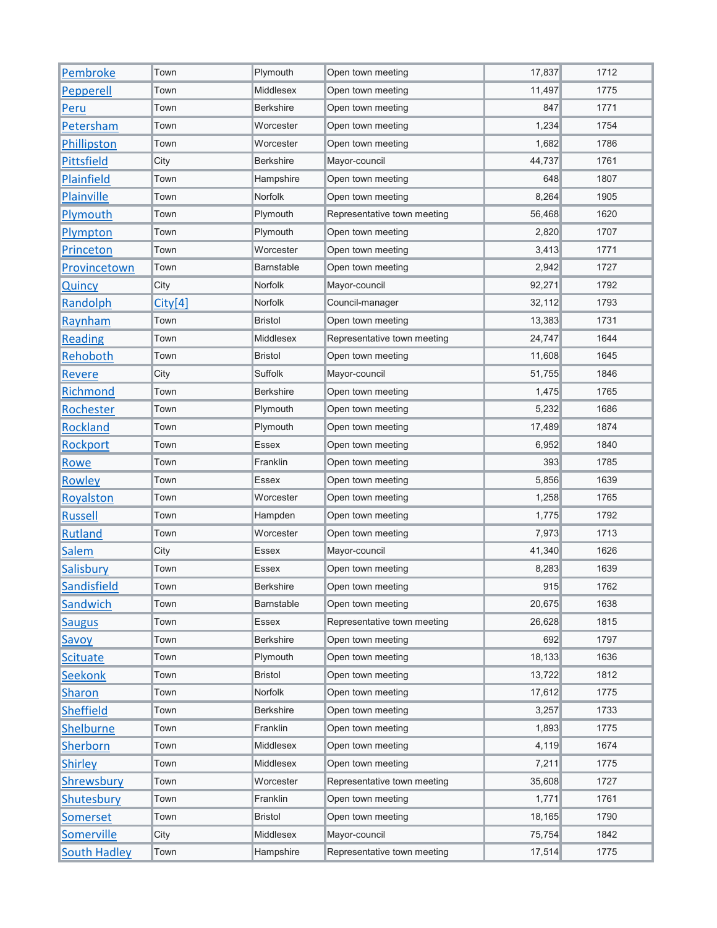| Pembroke            | Town    | Plymouth         | Open town meeting           | 17,837 | 1712 |
|---------------------|---------|------------------|-----------------------------|--------|------|
| Pepperell           | Town    | Middlesex        | Open town meeting           | 11,497 | 1775 |
| Peru                | Town    | <b>Berkshire</b> | Open town meeting           | 847    | 1771 |
| Petersham           | Town    | Worcester        | Open town meeting           | 1,234  | 1754 |
| Phillipston         | Town    | Worcester        | Open town meeting           | 1,682  | 1786 |
| <b>Pittsfield</b>   | City    | <b>Berkshire</b> | Mayor-council               | 44,737 | 1761 |
| Plainfield          | Town    | Hampshire        | Open town meeting           | 648    | 1807 |
| Plainville          | Town    | Norfolk          | Open town meeting           | 8,264  | 1905 |
| Plymouth            | Town    | Plymouth         | Representative town meeting | 56,468 | 1620 |
| Plympton            | Town    | Plymouth         | Open town meeting           | 2,820  | 1707 |
| Princeton           | Town    | Worcester        | Open town meeting           | 3,413  | 1771 |
| Provincetown        | Town    | Barnstable       | Open town meeting           | 2,942  | 1727 |
| Quincy              | City    | Norfolk          | Mayor-council               | 92,271 | 1792 |
| Randolph            | City[4] | Norfolk          | Council-manager             | 32,112 | 1793 |
| Raynham             | Town    | <b>Bristol</b>   | Open town meeting           | 13,383 | 1731 |
| Reading             | Town    | Middlesex        | Representative town meeting | 24,747 | 1644 |
| Rehoboth            | Town    | <b>Bristol</b>   | Open town meeting           | 11,608 | 1645 |
| <b>Revere</b>       | City    | Suffolk          | Mayor-council               | 51,755 | 1846 |
| <b>Richmond</b>     | Town    | Berkshire        | Open town meeting           | 1,475  | 1765 |
| Rochester           | Town    | Plymouth         | Open town meeting           | 5,232  | 1686 |
| <b>Rockland</b>     | Town    | Plymouth         | Open town meeting           | 17,489 | 1874 |
| Rockport            | Town    | Essex            | Open town meeting           | 6,952  | 1840 |
| Rowe                | Town    | Franklin         | Open town meeting           | 393    | 1785 |
| Rowley              | Town    | Essex            | Open town meeting           | 5,856  | 1639 |
| Royalston           | Town    | Worcester        | Open town meeting           | 1,258  | 1765 |
| <b>Russell</b>      | Town    | Hampden          | Open town meeting           | 1,775  | 1792 |
| <b>Rutland</b>      | Town    | Worcester        | Open town meeting           | 7,973  | 1713 |
| Salem               | City    | Essex            | Mayor-council               | 41,340 | 1626 |
| Salisbury           | Town    | <b>Essex</b>     | Open town meeting           | 8,283  | 1639 |
| <b>Sandisfield</b>  | Town    | Berkshire        | Open town meeting           | 915    | 1762 |
| Sandwich            | Town    | Barnstable       | Open town meeting           | 20,675 | 1638 |
| <b>Saugus</b>       | Town    | Essex            | Representative town meeting | 26,628 | 1815 |
| Savoy               | Town    | <b>Berkshire</b> | Open town meeting           | 692    | 1797 |
| <b>Scituate</b>     | Town    | Plymouth         | Open town meeting           | 18,133 | 1636 |
| <b>Seekonk</b>      | Town    | <b>Bristol</b>   | Open town meeting           | 13,722 | 1812 |
| <b>Sharon</b>       | Town    | Norfolk          | Open town meeting           | 17,612 | 1775 |
| <b>Sheffield</b>    | Town    | <b>Berkshire</b> | Open town meeting           | 3,257  | 1733 |
| <b>Shelburne</b>    | Town    | Franklin         | Open town meeting           | 1,893  | 1775 |
| <b>Sherborn</b>     | Town    | Middlesex        | Open town meeting           | 4,119  | 1674 |
| <b>Shirley</b>      | Town    | Middlesex        | Open town meeting           | 7,211  | 1775 |
| <b>Shrewsbury</b>   | Town    | Worcester        | Representative town meeting | 35,608 | 1727 |
| Shutesbury          | Town    | Franklin         | Open town meeting           | 1,771  | 1761 |
| Somerset            | Town    | Bristol          | Open town meeting           | 18,165 | 1790 |
| Somerville          | City    | Middlesex        | Mayor-council               | 75,754 | 1842 |
| <b>South Hadley</b> | Town    | Hampshire        | Representative town meeting | 17,514 | 1775 |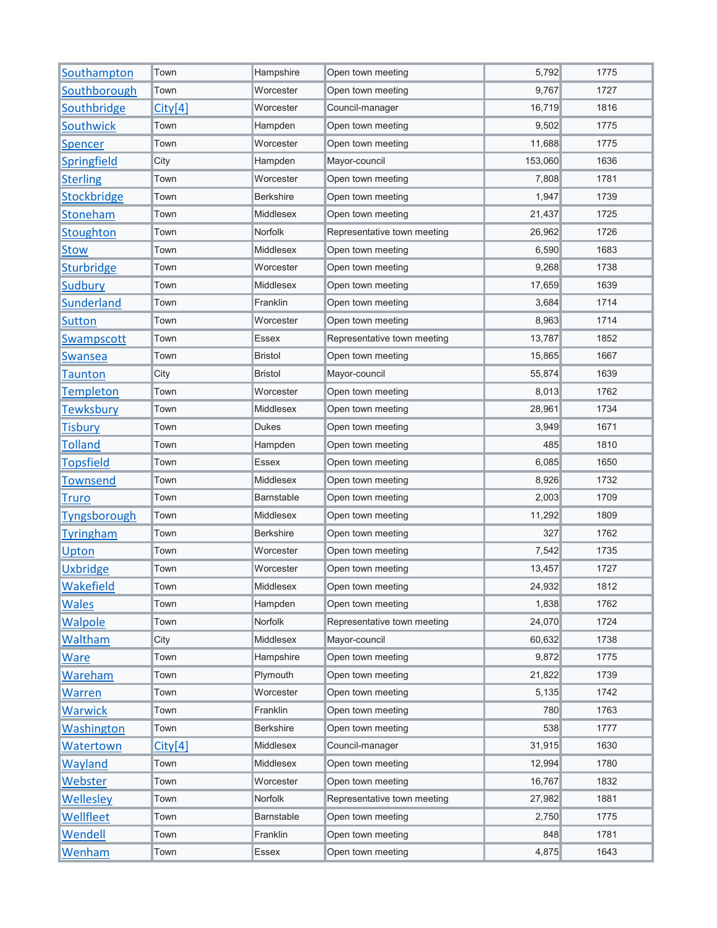| Southampton         | Town    | Hampshire        | Open town meeting           | 5,792   | 1775 |
|---------------------|---------|------------------|-----------------------------|---------|------|
| Southborough        | Town    | Worcester        | Open town meeting           | 9,767   | 1727 |
| Southbridge         | City[4] | Worcester        | Council-manager             | 16,719  | 1816 |
| <b>Southwick</b>    | Town    | Hampden          | Open town meeting           | 9,502   | 1775 |
| <b>Spencer</b>      | Town    | Worcester        | Open town meeting           | 11,688  | 1775 |
| Springfield         | City    | Hampden          | Mayor-council               | 153,060 | 1636 |
| <b>Sterling</b>     | Town    | Worcester        | Open town meeting           | 7,808   | 1781 |
| <b>Stockbridge</b>  | Town    | <b>Berkshire</b> | Open town meeting           | 1,947   | 1739 |
| Stoneham            | Town    | Middlesex        | Open town meeting           | 21,437  | 1725 |
| Stoughton           | Town    | Norfolk          | Representative town meeting | 26,962  | 1726 |
| <b>Stow</b>         | Town    | <b>Middlesex</b> | Open town meeting           | 6,590   | 1683 |
| <b>Sturbridge</b>   | Town    | Worcester        | Open town meeting           | 9,268   | 1738 |
| <b>Sudbury</b>      | Town    | Middlesex        | Open town meeting           | 17,659  | 1639 |
| <b>Sunderland</b>   | Town    | Franklin         | Open town meeting           | 3,684   | 1714 |
| <b>Sutton</b>       | Town    | Worcester        | Open town meeting           | 8,963   | 1714 |
| Swampscott          | Town    | Essex            | Representative town meeting | 13,787  | 1852 |
| Swansea             | Town    | <b>Bristol</b>   | Open town meeting           | 15,865  | 1667 |
| Taunton             | City    | <b>Bristol</b>   | Mayor-council               | 55,874  | 1639 |
| <b>Templeton</b>    | Town    | Worcester        | Open town meeting           | 8,013   | 1762 |
| <b>Tewksbury</b>    | Town    | Middlesex        | Open town meeting           | 28,961  | 1734 |
| <b>Tisbury</b>      | Town    | <b>Dukes</b>     | Open town meeting           | 3,949   | 1671 |
| <b>Tolland</b>      | Town    | Hampden          | Open town meeting           | 485     | 1810 |
| <b>Topsfield</b>    | Town    | <b>Essex</b>     | Open town meeting           | 6,085   | 1650 |
| <b>Townsend</b>     | Town    | Middlesex        | Open town meeting           | 8,926   | 1732 |
| <b>Truro</b>        | Town    | Barnstable       | Open town meeting           | 2,003   | 1709 |
| <b>Tyngsborough</b> | Town    | Middlesex        | Open town meeting           | 11,292  | 1809 |
| <b>Tyringham</b>    | Town    | <b>Berkshire</b> | Open town meeting           | 327     | 1762 |
| Upton               | Town    | Worcester        | Open town meeting           | 7,542   | 1735 |
| <b>Uxbridge</b>     | Town    | Worcester        | Open town meeting           | 13,457  | 1727 |
| <b>Wakefield</b>    | Town    | Middlesex        | Open town meeting           | 24,932  | 1812 |
| <b>Wales</b>        | Town    | Hampden          | Open town meeting           | 1,838   | 1762 |
| <b>Walpole</b>      | Town    | Norfolk          | Representative town meeting | 24,070  | 1724 |
| <b>Waltham</b>      | City    | Middlesex        | Mayor-council               | 60,632  | 1738 |
| <b>Ware</b>         | Town    | Hampshire        | Open town meeting           | 9,872   | 1775 |
| Wareham             | Town    | Plymouth         | Open town meeting           | 21,822  | 1739 |
| Warren              | Town    | Worcester        | Open town meeting           | 5,135   | 1742 |
| <b>Warwick</b>      | Town    | Franklin         | Open town meeting           | 780     | 1763 |
| Washington          | Town    | Berkshire        | Open town meeting           | 538     | 1777 |
| Watertown           | City[4] | Middlesex        | Council-manager             | 31,915  | 1630 |
| Wayland             | Town    | Middlesex        | Open town meeting           | 12,994  | 1780 |
| Webster             | Town    | Worcester        | Open town meeting           | 16,767  | 1832 |
| <b>Wellesley</b>    | Town    | Norfolk          | Representative town meeting | 27,982  | 1881 |
| Wellfleet           | Town    | Barnstable       | Open town meeting           | 2,750   | 1775 |
| Wendell             | Town    | Franklin         | Open town meeting           | 848     | 1781 |
| Wenham              | Town    | Essex            | Open town meeting           | 4,875   | 1643 |